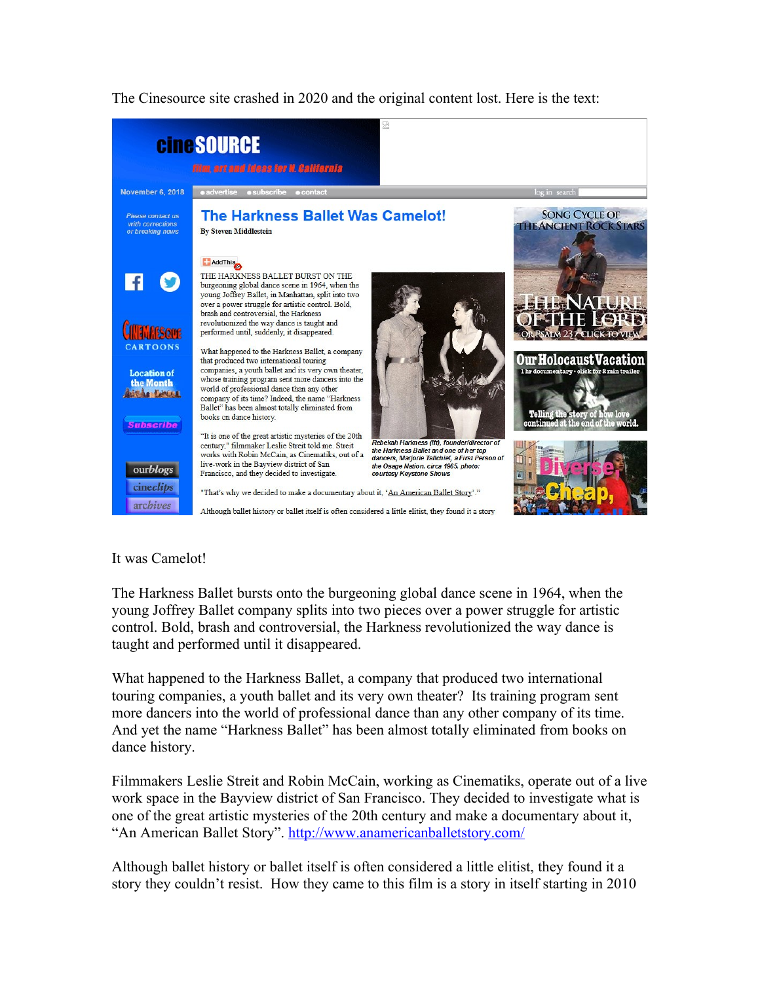The Cinesource site crashed in 2020 and the original content lost. Here is the text:



## It was Camelot!

The Harkness Ballet bursts onto the burgeoning global dance scene in 1964, when the young Joffrey Ballet company splits into two pieces over a power struggle for artistic control. Bold, brash and controversial, the Harkness revolutionized the way dance is taught and performed until it disappeared.

What happened to the Harkness Ballet, a company that produced two international touring companies, a youth ballet and its very own theater? Its training program sent more dancers into the world of professional dance than any other company of its time. And yet the name "Harkness Ballet" has been almost totally eliminated from books on dance history.

Filmmakers Leslie Streit and Robin McCain, working as Cinematiks, operate out of a live work space in the Bayview district of San Francisco. They decided to investigate what is one of the great artistic mysteries of the 20th century and make a documentary about it, "An American Ballet Story".<http://www.anamericanballetstory.com/>

Although ballet history or ballet itself is often considered a little elitist, they found it a story they couldn't resist. How they came to this film is a story in itself starting in 2010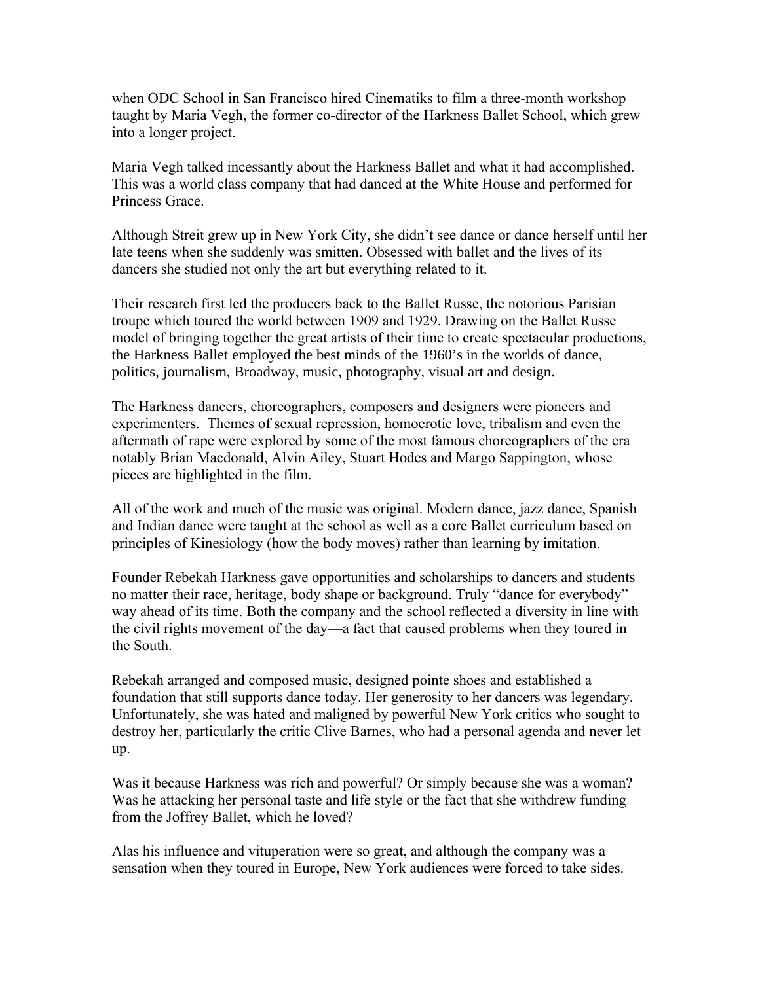when ODC School in San Francisco hired Cinematiks to film a three-month workshop taught by Maria Vegh, the former co-director of the Harkness Ballet School, which grew into a longer project.

Maria Vegh talked incessantly about the Harkness Ballet and what it had accomplished. This was a world class company that had danced at the White House and performed for Princess Grace.

Although Streit grew up in New York City, she didn't see dance or dance herself until her late teens when she suddenly was smitten. Obsessed with ballet and the lives of its dancers she studied not only the art but everything related to it.

Their research first led the producers back to the Ballet Russe, the notorious Parisian troupe which toured the world between 1909 and 1929. Drawing on the Ballet Russe model of bringing together the great artists of their time to create spectacular productions, the Harkness Ballet employed the best minds of the 1960's in the worlds of dance, politics, journalism, Broadway, music, photography, visual art and design.

The Harkness dancers, choreographers, composers and designers were pioneers and experimenters. Themes of sexual repression, homoerotic love, tribalism and even the aftermath of rape were explored by some of the most famous choreographers of the era notably Brian Macdonald, Alvin Ailey, Stuart Hodes and Margo Sappington, whose pieces are highlighted in the film.

All of the work and much of the music was original. Modern dance, jazz dance, Spanish and Indian dance were taught at the school as well as a core Ballet curriculum based on principles of Kinesiology (how the body moves) rather than learning by imitation.

Founder Rebekah Harkness gave opportunities and scholarships to dancers and students no matter their race, heritage, body shape or background. Truly "dance for everybody" way ahead of its time. Both the company and the school reflected a diversity in line with the civil rights movement of the day—a fact that caused problems when they toured in the South.

Rebekah arranged and composed music, designed pointe shoes and established a foundation that still supports dance today. Her generosity to her dancers was legendary. Unfortunately, she was hated and maligned by powerful New York critics who sought to destroy her, particularly the critic Clive Barnes, who had a personal agenda and never let up.

Was it because Harkness was rich and powerful? Or simply because she was a woman? Was he attacking her personal taste and life style or the fact that she withdrew funding from the Joffrey Ballet, which he loved?

Alas his influence and vituperation were so great, and although the company was a sensation when they toured in Europe, New York audiences were forced to take sides.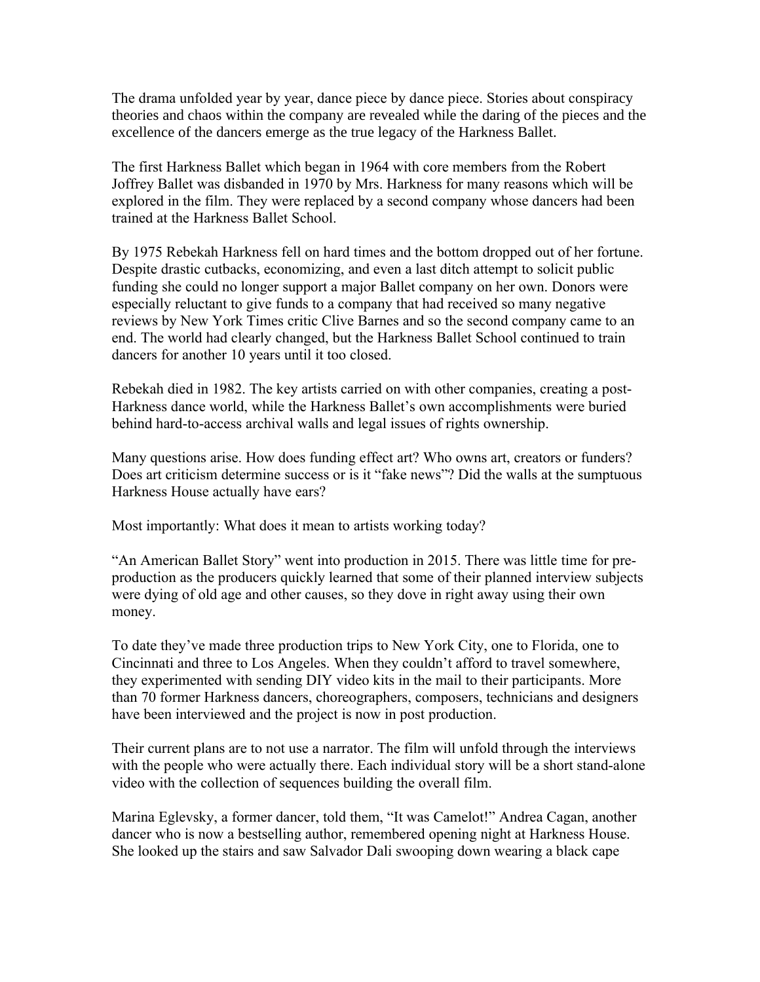The drama unfolded year by year, dance piece by dance piece. Stories about conspiracy theories and chaos within the company are revealed while the daring of the pieces and the excellence of the dancers emerge as the true legacy of the Harkness Ballet.

The first Harkness Ballet which began in 1964 with core members from the Robert Joffrey Ballet was disbanded in 1970 by Mrs. Harkness for many reasons which will be explored in the film. They were replaced by a second company whose dancers had been trained at the Harkness Ballet School.

By 1975 Rebekah Harkness fell on hard times and the bottom dropped out of her fortune. Despite drastic cutbacks, economizing, and even a last ditch attempt to solicit public funding she could no longer support a major Ballet company on her own. Donors were especially reluctant to give funds to a company that had received so many negative reviews by New York Times critic Clive Barnes and so the second company came to an end. The world had clearly changed, but the Harkness Ballet School continued to train dancers for another 10 years until it too closed.

Rebekah died in 1982. The key artists carried on with other companies, creating a post-Harkness dance world, while the Harkness Ballet's own accomplishments were buried behind hard-to-access archival walls and legal issues of rights ownership.

Many questions arise. How does funding effect art? Who owns art, creators or funders? Does art criticism determine success or is it "fake news"? Did the walls at the sumptuous Harkness House actually have ears?

Most importantly: What does it mean to artists working today?

"An American Ballet Story" went into production in 2015. There was little time for preproduction as the producers quickly learned that some of their planned interview subjects were dying of old age and other causes, so they dove in right away using their own money.

To date they've made three production trips to New York City, one to Florida, one to Cincinnati and three to Los Angeles. When they couldn't afford to travel somewhere, they experimented with sending DIY video kits in the mail to their participants. More than 70 former Harkness dancers, choreographers, composers, technicians and designers have been interviewed and the project is now in post production.

Their current plans are to not use a narrator. The film will unfold through the interviews with the people who were actually there. Each individual story will be a short stand-alone video with the collection of sequences building the overall film.

Marina Eglevsky, a former dancer, told them, "It was Camelot!" Andrea Cagan, another dancer who is now a bestselling author, remembered opening night at Harkness House. She looked up the stairs and saw Salvador Dali swooping down wearing a black cape